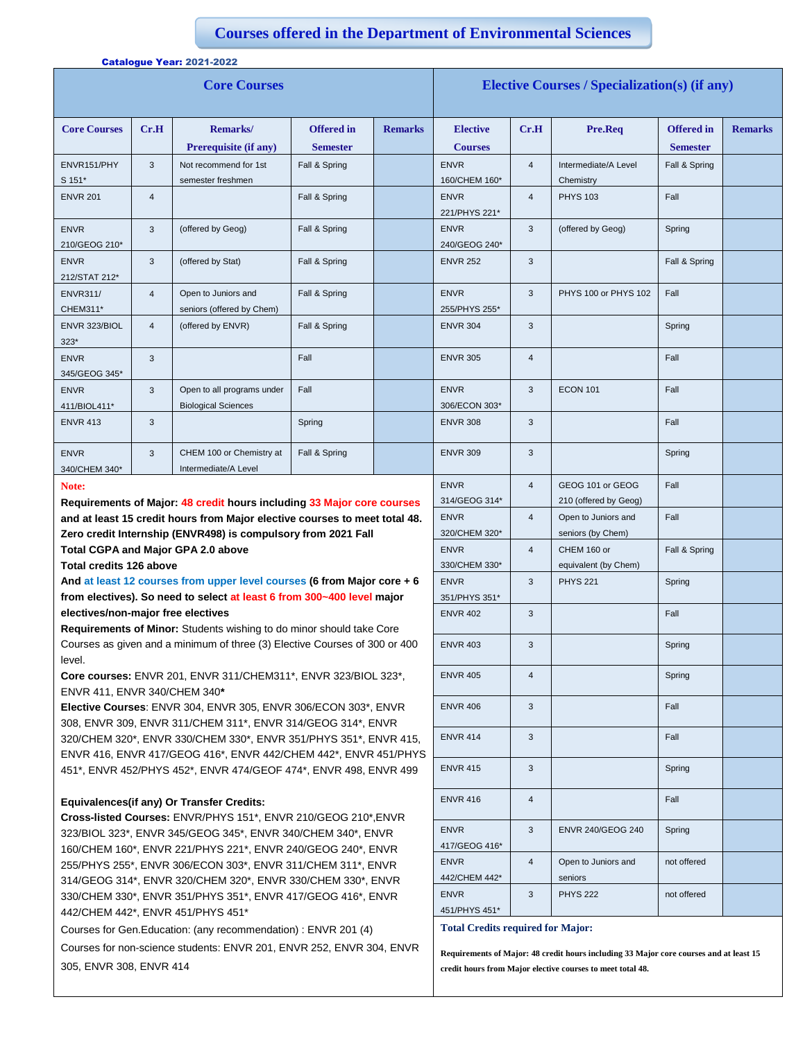## **Courses offered in the Department of Environmental Sciences**

| <b>Core Courses</b>          |                |                                                          |                                      |                | <b>Elective Courses / Specialization(s) (if any)</b> |                |                                   |                                      |                |
|------------------------------|----------------|----------------------------------------------------------|--------------------------------------|----------------|------------------------------------------------------|----------------|-----------------------------------|--------------------------------------|----------------|
| <b>Core Courses</b>          | Cr.H           | <b>Remarks</b> /<br>Prerequisite (if any)                | <b>Offered</b> in<br><b>Semester</b> | <b>Remarks</b> | <b>Elective</b><br><b>Courses</b>                    | Cr.H           | Pre.Req                           | <b>Offered</b> in<br><b>Semester</b> | <b>Remarks</b> |
| ENVR151/PHY<br>S 151*        | 3              | Not recommend for 1st<br>semester freshmen               | Fall & Spring                        |                | <b>ENVR</b><br>160/CHEM 160*                         | $\overline{4}$ | Intermediate/A Level<br>Chemistry | Fall & Spring                        |                |
| <b>ENVR 201</b>              | $\overline{4}$ |                                                          | Fall & Spring                        |                | <b>ENVR</b><br>221/PHYS 221*                         | $\overline{4}$ | <b>PHYS 103</b>                   | Fall                                 |                |
| <b>ENVR</b><br>210/GEOG 210* | 3              | (offered by Geog)                                        | Fall & Spring                        |                | <b>ENVR</b><br>240/GEOG 240*                         | 3              | (offered by Geog)                 | Spring                               |                |
| <b>ENVR</b><br>212/STAT 212* | 3              | (offered by Stat)                                        | Fall & Spring                        |                | <b>ENVR 252</b>                                      | 3              |                                   | Fall & Spring                        |                |
| <b>ENVR311/</b><br>CHEM311*  | $\overline{4}$ | Open to Juniors and<br>seniors (offered by Chem)         | Fall & Spring                        |                | <b>ENVR</b><br>255/PHYS 255*                         | 3              | PHYS 100 or PHYS 102              | Fall                                 |                |
| ENVR 323/BIOL<br>$323*$      | $\overline{4}$ | (offered by ENVR)                                        | Fall & Spring                        |                | <b>ENVR 304</b>                                      | 3              |                                   | Spring                               |                |
| <b>ENVR</b><br>345/GEOG 345* | 3              |                                                          | Fall                                 |                | <b>ENVR 305</b>                                      | $\overline{4}$ |                                   | Fall                                 |                |
| <b>ENVR</b><br>411/BIOL411*  | 3              | Open to all programs under<br><b>Biological Sciences</b> | Fall                                 |                | <b>ENVR</b><br>306/ECON 303*                         | 3              | <b>ECON 101</b>                   | Fall                                 |                |
| <b>ENVR 413</b>              | 3              |                                                          | Spring                               |                | <b>ENVR 308</b>                                      | 3              |                                   | Fall                                 |                |
| <b>ENVR</b><br>340/CHEM 340* | 3              | CHEM 100 or Chemistry at<br>Intermediate/A Level         | Fall & Spring                        |                | <b>ENVR 309</b>                                      | 3              |                                   | Spring                               |                |

## **Note:**

**Requirements of Major: 48 credit hours including 33 Major core courses and at least 15 credit hours from Major elective courses to meet total 48. Zero credit Internship (ENVR498) is compulsory from 2021 Fall Total CGPA and Major GPA 2.0 above**

**Total credits 126 above**

Catalogue Year: 2021-2022

**And at least 12 courses from upper level courses (6 from Major core + 6 from electives). So need to select at least 6 from 300~400 level major electives/non-major free electives**

**Requirements of Minor:** Students wishing to do minor should take Core Courses as given and a minimum of three (3) Elective Courses of 300 or 400 level.

**Core courses:** ENVR 201, ENVR 311/CHEM311\*, ENVR 323/BIOL 323\*, ENVR 411, ENVR 340/CHEM 340**\***

**Elective Courses**: ENVR 304, ENVR 305, ENVR 306/ECON 303\*, ENVR 308, ENVR 309, ENVR 311/CHEM 311\*, ENVR 314/GEOG 314\*, ENVR 320/CHEM 320\*, ENVR 330/CHEM 330\*, ENVR 351/PHYS 351\*, ENVR 415, ENVR 416, ENVR 417/GEOG 416\*, ENVR 442/CHEM 442\*, ENVR 451/PHYS 451\*, ENVR 452/PHYS 452\*, ENVR 474/GEOF 474\*, ENVR 498, ENVR 499

## **Equivalences(if any) Or Transfer Credits:**

**Cross-listed Courses:** ENVR/PHYS 151\*, ENVR 210/GEOG 210\*,ENVR 323/BIOL 323\*, ENVR 345/GEOG 345\*, ENVR 340/CHEM 340\*, ENVR 160/CHEM 160\*, ENVR 221/PHYS 221\*, ENVR 240/GEOG 240\*, ENVR 255/PHYS 255\*, ENVR 306/ECON 303\*, ENVR 311/CHEM 311\*, ENVR 314/GEOG 314\*, ENVR 320/CHEM 320\*, ENVR 330/CHEM 330\*, ENVR 330/CHEM 330\*, ENVR 351/PHYS 351\*, ENVR 417/GEOG 416\*, ENVR 442/CHEM 442\*, ENVR 451/PHYS 451\*

Courses for Gen.Education: (any recommendation) : ENVR 201 (4)

Courses for non-science students: ENVR 201, ENVR 252, ENVR 304, ENVR 305, ENVR 308, ENVR 414

| <b>ENVR 252</b>                          | 3                       |                                           | Fall & Spring |  |
|------------------------------------------|-------------------------|-------------------------------------------|---------------|--|
| <b>ENVR</b>                              | 3                       | PHYS 100 or PHYS 102                      | Fall          |  |
| 255/PHYS 255*                            |                         |                                           |               |  |
| <b>ENVR 304</b>                          | 3                       |                                           | Spring        |  |
| <b>ENVR 305</b>                          | $\overline{4}$          |                                           | Fall          |  |
| <b>ENVR</b><br>306/ECON 303*             | 3                       | <b>ECON 101</b>                           | Fall          |  |
| <b>ENVR 308</b>                          | 3                       |                                           | Fall          |  |
| <b>ENVR 309</b>                          | 3                       |                                           | Spring        |  |
| <b>ENVR</b><br>314/GEOG 314*             | 4                       | GEOG 101 or GEOG<br>210 (offered by Geog) | Fall          |  |
| <b>ENVR</b>                              | 4                       | Open to Juniors and                       | Fall          |  |
| 320/CHEM 320*                            |                         | seniors (by Chem)                         |               |  |
| <b>ENVR</b>                              | $\overline{\mathbf{4}}$ | CHEM 160 or                               | Fall & Spring |  |
| 330/CHEM 330*                            |                         | equivalent (by Chem)                      |               |  |
| <b>ENVR</b>                              | 3                       | <b>PHYS 221</b>                           | Spring        |  |
| 351/PHYS 351*                            |                         |                                           |               |  |
| <b>ENVR 402</b>                          | 3                       |                                           | Fall          |  |
| <b>ENVR 403</b>                          | 3                       |                                           | Spring        |  |
| <b>ENVR 405</b>                          | 4                       |                                           | Spring        |  |
| <b>ENVR 406</b>                          | 3                       |                                           | Fall          |  |
| <b>ENVR 414</b>                          | 3                       |                                           | Fall          |  |
| <b>ENVR 415</b>                          | 3                       |                                           | Spring        |  |
| <b>ENVR 416</b>                          | 4                       |                                           | Fall          |  |
| <b>ENVR</b><br>417/GEOG 416*             | 3                       | ENVR 240/GEOG 240                         | Spring        |  |
| <b>ENVR</b>                              | $\overline{4}$          | Open to Juniors and                       | not offered   |  |
| 442/CHEM 442*                            |                         | seniors                                   |               |  |
| <b>ENVR</b>                              | 3                       | <b>PHYS 222</b>                           | not offered   |  |
| 451/PHYS 451*                            |                         |                                           |               |  |
| <b>Total Credits required for Major:</b> |                         |                                           |               |  |

**Requirements of Major: 48 credit hours including 33 Major core courses and at least 15 credit hours from Major elective courses to meet total 48.**